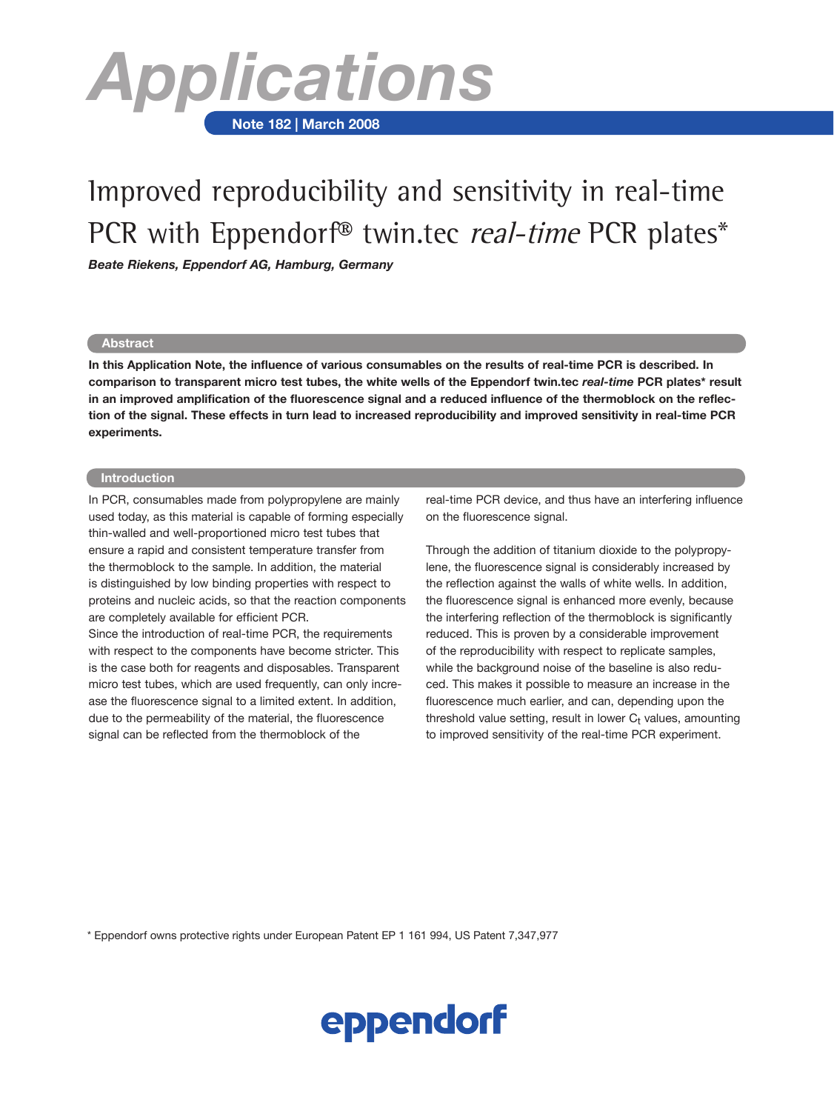

# Improved reproducibility and sensitivity in real-time PCR with Eppendorf<sup>®</sup> twin.tec *real-time* PCR plates\*

*Beate Riekens, Eppendorf AG, Hamburg, Germany*

#### **Abstract**

**In this Application Note, the influence of various consumables on the results of real-time PCR is described. In comparison to transparent micro test tubes, the white wells of the Eppendorf twin.tec** *real-time* **PCR plates\* result in an improved amplification of the fluorescence signal and a reduced influence of the thermoblock on the reflection of the signal. These effects in turn lead to increased reproducibility and improved sensitivity in real-time PCR experiments.**

## **Introduction**

In PCR, consumables made from polypropylene are mainly used today, as this material is capable of forming especially thin-walled and well-proportioned micro test tubes that ensure a rapid and consistent temperature transfer from the thermoblock to the sample. In addition, the material is distinguished by low binding properties with respect to proteins and nucleic acids, so that the reaction components are completely available for efficient PCR.

Since the introduction of real-time PCR, the requirements with respect to the components have become stricter. This is the case both for reagents and disposables. Transparent micro test tubes, which are used frequently, can only increase the fluorescence signal to a limited extent. In addition, due to the permeability of the material, the fluorescence signal can be reflected from the thermoblock of the

real-time PCR device, and thus have an interfering influence on the fluorescence signal.

Through the addition of titanium dioxide to the polypropylene, the fluorescence signal is considerably increased by the reflection against the walls of white wells. In addition, the fluorescence signal is enhanced more evenly, because the interfering reflection of the thermoblock is significantly reduced. This is proven by a considerable improvement of the reproducibility with respect to replicate samples, while the background noise of the baseline is also reduced. This makes it possible to measure an increase in the fluorescence much earlier, and can, depending upon the threshold value setting, result in lower  $C<sub>t</sub>$  values, amounting to improved sensitivity of the real-time PCR experiment.

\* Eppendorf owns protective rights under European Patent EP 1 161 994, US Patent 7,347,977

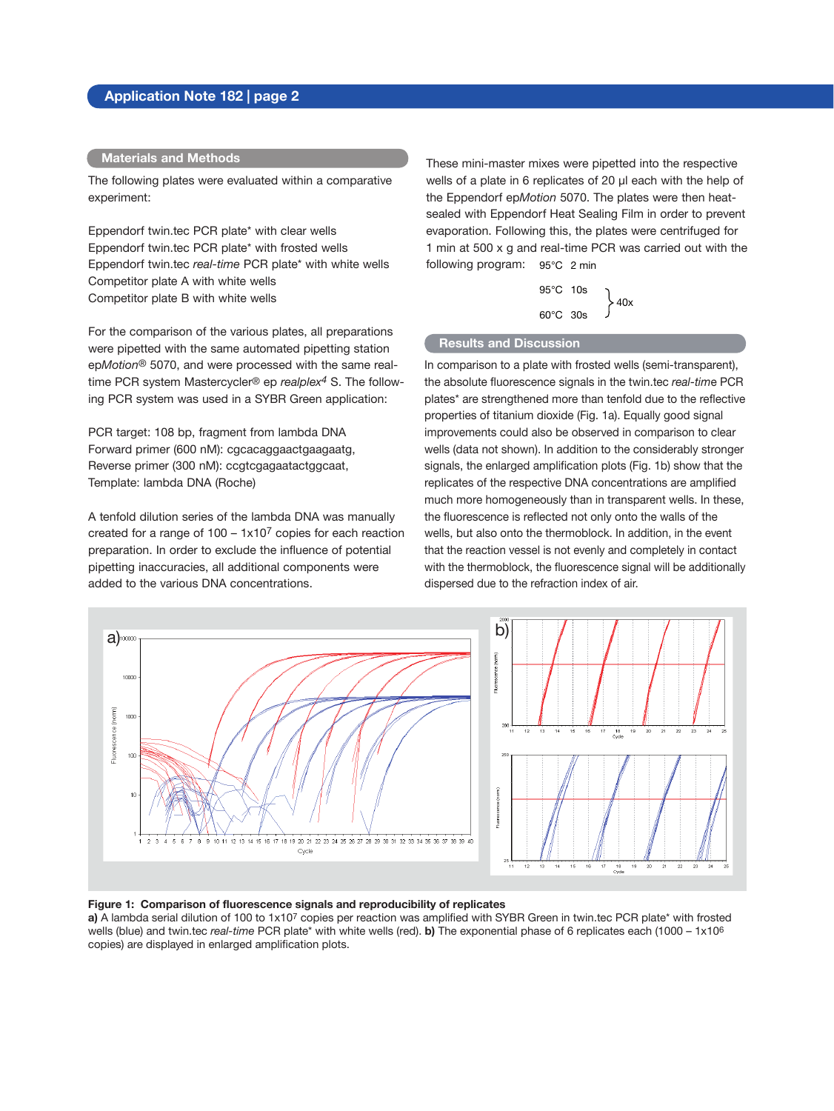# **Application Note 182 | page 2**

#### **Materials and Methods**

The following plates were evaluated within a comparative experiment:

Eppendorf twin.tec PCR plate\* with clear wells Eppendorf twin.tec PCR plate\* with frosted wells Eppendorf twin.tec *real-time* PCR plate\* with white wells Competitor plate A with white wells Competitor plate B with white wells

For the comparison of the various plates, all preparations were pipetted with the same automated pipetting station ep*Motion*® 5070, and were processed with the same realtime PCR system Mastercycler® ep *realplex4* S. The following PCR system was used in a SYBR Green application:

PCR target: 108 bp, fragment from lambda DNA Forward primer (600 nM): cgcacaggaactgaagaatg, Reverse primer (300 nM): ccgtcgagaatactggcaat, Template: lambda DNA (Roche)

A tenfold dilution series of the lambda DNA was manually created for a range of  $100 - 1x10<sup>7</sup>$  copies for each reaction preparation. In order to exclude the influence of potential pipetting inaccuracies, all additional components were added to the various DNA concentrations.

These mini-master mixes were pipetted into the respective wells of a plate in 6 replicates of 20 µl each with the help of the Eppendorf ep*Motion* 5070. The plates were then heatsealed with Eppendorf Heat Sealing Film in order to prevent evaporation. Following this, the plates were centrifuged for 1 min at 500 x g and real-time PCR was carried out with the following program: 95°C 2 min

$$
\begin{array}{c}\n 95^{\circ}C \quad 10s \\
\hline\n 60^{\circ}C \quad 30s\n \end{array}\n \bigg\} 40x
$$

### **Results and Discussion**

In comparison to a plate with frosted wells (semi-transparent), the absolute fluorescence signals in the twin.tec *real-tim*e PCR plates\* are strengthened more than tenfold due to the reflective properties of titanium dioxide (Fig. 1a). Equally good signal improvements could also be observed in comparison to clear wells (data not shown). In addition to the considerably stronger signals, the enlarged amplification plots (Fig. 1b) show that the replicates of the respective DNA concentrations are amplified much more homogeneously than in transparent wells. In these, the fluorescence is reflected not only onto the walls of the wells, but also onto the thermoblock. In addition, in the event that the reaction vessel is not evenly and completely in contact with the thermoblock, the fluorescence signal will be additionally dispersed due to the refraction index of air.



### **Figure 1: Comparison of fluorescence signals and reproducibility of replicates**

**a)** A lambda serial dilution of 100 to 1x107 copies per reaction was amplified with SYBR Green in twin.tec PCR plate\* with frosted wells (blue) and twin.tec *real-time* PCR plate\* with white wells (red). **b)** The exponential phase of 6 replicates each (1000 – 1x106 copies) are displayed in enlarged amplification plots.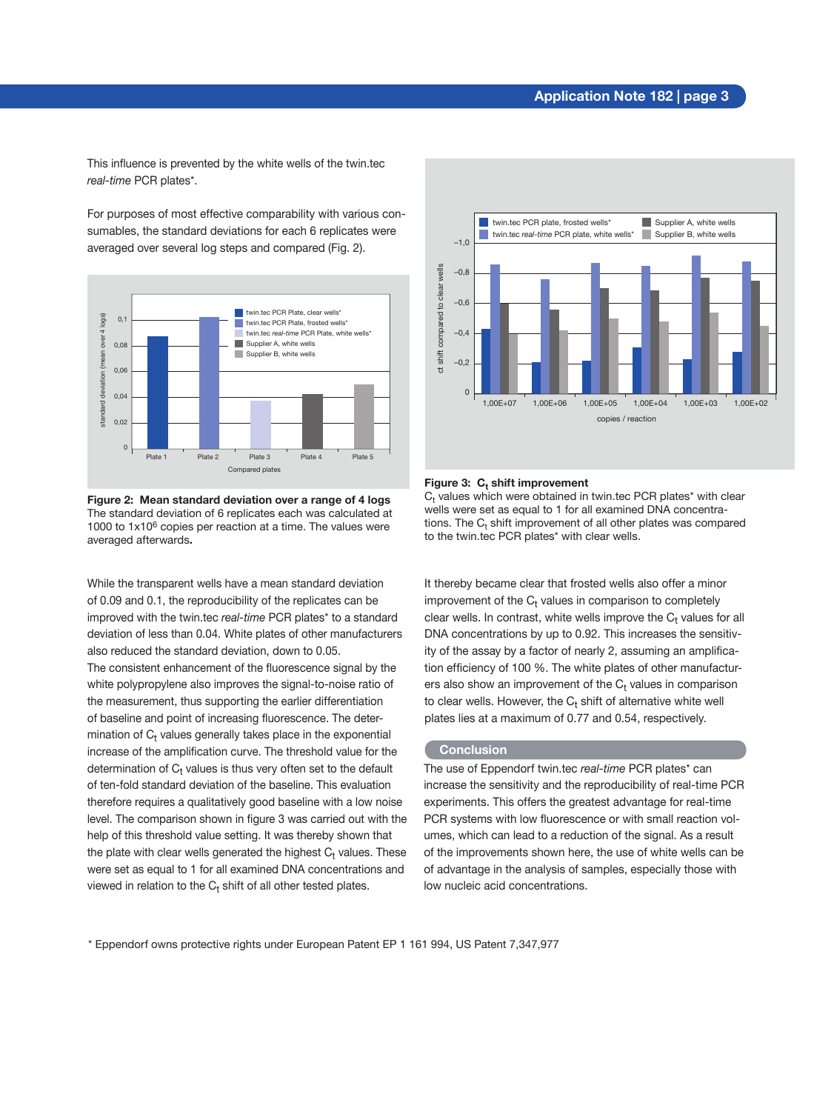## **Application Note 182 | page 3**

This influence is prevented by the white wells of the twin.tec *real-time* PCR plates\*.

For purposes of most effective comparability with various consumables, the standard deviations for each 6 replicates were averaged over several log steps and compared (Fig. 2).



**Figure 2: Mean standard deviation over a range of 4 logs** The standard deviation of 6 replicates each was calculated at 1000 to 1x106 copies per reaction at a time. The values were averaged afterwards**.**

While the transparent wells have a mean standard deviation of 0.09 and 0.1, the reproducibility of the replicates can be improved with the twin.tec *real-time* PCR plates\* to a standard deviation of less than 0.04. White plates of other manufacturers also reduced the standard deviation, down to 0.05.

The consistent enhancement of the fluorescence signal by the white polypropylene also improves the signal-to-noise ratio of the measurement, thus supporting the earlier differentiation of baseline and point of increasing fluorescence. The determination of  $C<sub>t</sub>$  values generally takes place in the exponential increase of the amplification curve. The threshold value for the determination of  $C<sub>t</sub>$  values is thus very often set to the default of ten-fold standard deviation of the baseline. This evaluation therefore requires a qualitatively good baseline with a low noise level. The comparison shown in figure 3 was carried out with the help of this threshold value setting. It was thereby shown that the plate with clear wells generated the highest  $C<sub>t</sub>$  values. These were set as equal to 1 for all examined DNA concentrations and viewed in relation to the  $C_t$  shift of all other tested plates.



#### Figure 3: C<sub>t</sub> shift improvement

 $\mathsf{C}_\mathsf{t}$  values which were obtained in twin.tec PCR plates\* with clear wells were set as equal to 1 for all examined DNA concentrations. The  $\mathsf{C}_\mathsf{t}$  shift improvement of all other plates was compared to the twin.tec PCR plates\* with clear wells.

It thereby became clear that frosted wells also offer a minor improvement of the  $C_t$  values in comparison to completely clear wells. In contrast, white wells improve the  $C<sub>t</sub>$  values for all DNA concentrations by up to 0.92. This increases the sensitivity of the assay by a factor of nearly 2, assuming an amplification efficiency of 100 %. The white plates of other manufacturers also show an improvement of the  $C<sub>t</sub>$  values in comparison to clear wells. However, the  $C_t$  shift of alternative white well plates lies at a maximum of 0.77 and 0.54, respectively.

#### **Conclusion**

The use of Eppendorf twin.tec *real-time* PCR plates\* can increase the sensitivity and the reproducibility of real-time PCR experiments. This offers the greatest advantage for real-time PCR systems with low fluorescence or with small reaction volumes, which can lead to a reduction of the signal. As a result of the improvements shown here, the use of white wells can be of advantage in the analysis of samples, especially those with low nucleic acid concentrations.

\* Eppendorf owns protective rights under European Patent EP 1 161 994, US Patent 7,347,977